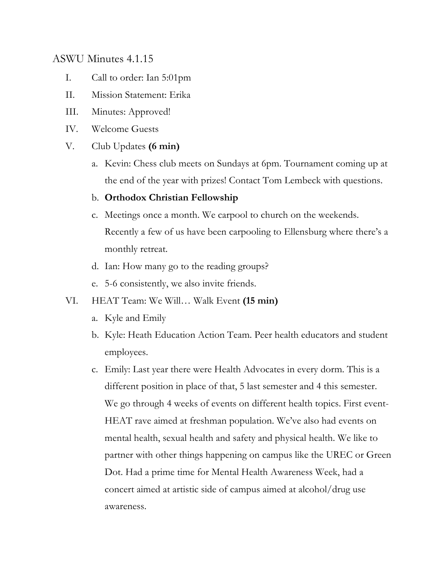# ASWU Minutes 4.1.15

- I. Call to order: Ian 5:01pm
- II. Mission Statement: Erika
- III. Minutes: Approved!
- IV. Welcome Guests
- V. Club Updates **(6 min)**
	- a. Kevin: Chess club meets on Sundays at 6pm. Tournament coming up at the end of the year with prizes! Contact Tom Lembeck with questions.

## b. **Orthodox Christian Fellowship**

- c. Meetings once a month. We carpool to church on the weekends. Recently a few of us have been carpooling to Ellensburg where there's a monthly retreat.
- d. Ian: How many go to the reading groups?
- e. 5-6 consistently, we also invite friends.
- VI. HEAT Team: We Will… Walk Event **(15 min)**
	- a. Kyle and Emily
	- b. Kyle: Heath Education Action Team. Peer health educators and student employees.
	- c. Emily: Last year there were Health Advocates in every dorm. This is a different position in place of that, 5 last semester and 4 this semester. We go through 4 weeks of events on different health topics. First event-HEAT rave aimed at freshman population. We've also had events on mental health, sexual health and safety and physical health. We like to partner with other things happening on campus like the UREC or Green Dot. Had a prime time for Mental Health Awareness Week, had a concert aimed at artistic side of campus aimed at alcohol/drug use awareness.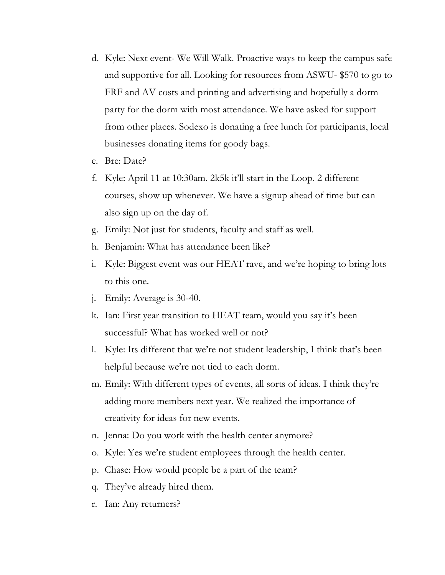- d. Kyle: Next event- We Will Walk. Proactive ways to keep the campus safe and supportive for all. Looking for resources from ASWU- \$570 to go to FRF and AV costs and printing and advertising and hopefully a dorm party for the dorm with most attendance. We have asked for support from other places. Sodexo is donating a free lunch for participants, local businesses donating items for goody bags.
- e. Bre: Date?
- f. Kyle: April 11 at 10:30am. 2k5k it'll start in the Loop. 2 different courses, show up whenever. We have a signup ahead of time but can also sign up on the day of.
- g. Emily: Not just for students, faculty and staff as well.
- h. Benjamin: What has attendance been like?
- i. Kyle: Biggest event was our HEAT rave, and we're hoping to bring lots to this one.
- j. Emily: Average is 30-40.
- k. Ian: First year transition to HEAT team, would you say it's been successful? What has worked well or not?
- l. Kyle: Its different that we're not student leadership, I think that's been helpful because we're not tied to each dorm.
- m. Emily: With different types of events, all sorts of ideas. I think they're adding more members next year. We realized the importance of creativity for ideas for new events.
- n. Jenna: Do you work with the health center anymore?
- o. Kyle: Yes we're student employees through the health center.
- p. Chase: How would people be a part of the team?
- q. They've already hired them.
- r. Ian: Any returners?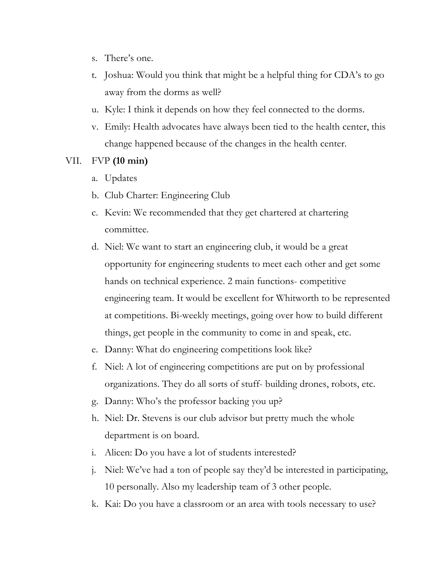- s. There's one.
- t. Joshua: Would you think that might be a helpful thing for CDA's to go away from the dorms as well?
- u. Kyle: I think it depends on how they feel connected to the dorms.
- v. Emily: Health advocates have always been tied to the health center, this change happened because of the changes in the health center.

## VII. FVP **(10 min)**

- a. Updates
- b. Club Charter: Engineering Club
- c. Kevin: We recommended that they get chartered at chartering committee.
- d. Niel: We want to start an engineering club, it would be a great opportunity for engineering students to meet each other and get some hands on technical experience. 2 main functions- competitive engineering team. It would be excellent for Whitworth to be represented at competitions. Bi-weekly meetings, going over how to build different things, get people in the community to come in and speak, etc.
- e. Danny: What do engineering competitions look like?
- f. Niel: A lot of engineering competitions are put on by professional organizations. They do all sorts of stuff- building drones, robots, etc.
- g. Danny: Who's the professor backing you up?
- h. Niel: Dr. Stevens is our club advisor but pretty much the whole department is on board.
- i. Alicen: Do you have a lot of students interested?
- j. Niel: We've had a ton of people say they'd be interested in participating, 10 personally. Also my leadership team of 3 other people.
- k. Kai: Do you have a classroom or an area with tools necessary to use?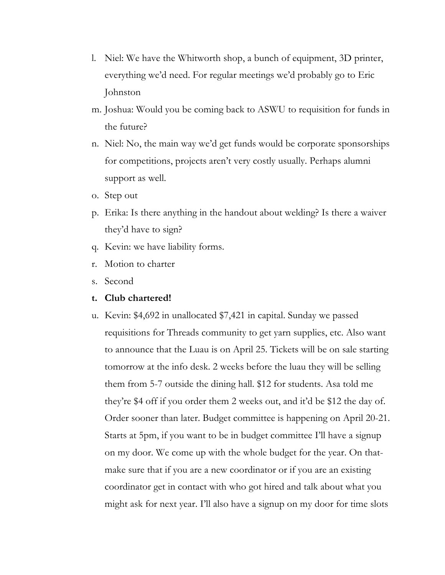- l. Niel: We have the Whitworth shop, a bunch of equipment, 3D printer, everything we'd need. For regular meetings we'd probably go to Eric Johnston
- m. Joshua: Would you be coming back to ASWU to requisition for funds in the future?
- n. Niel: No, the main way we'd get funds would be corporate sponsorships for competitions, projects aren't very costly usually. Perhaps alumni support as well.
- o. Step out
- p. Erika: Is there anything in the handout about welding? Is there a waiver they'd have to sign?
- q. Kevin: we have liability forms.
- r. Motion to charter
- s. Second

#### **t. Club chartered!**

u. Kevin: \$4,692 in unallocated \$7,421 in capital. Sunday we passed requisitions for Threads community to get yarn supplies, etc. Also want to announce that the Luau is on April 25. Tickets will be on sale starting tomorrow at the info desk. 2 weeks before the luau they will be selling them from 5-7 outside the dining hall. \$12 for students. Asa told me they're \$4 off if you order them 2 weeks out, and it'd be \$12 the day of. Order sooner than later. Budget committee is happening on April 20-21. Starts at 5pm, if you want to be in budget committee I'll have a signup on my door. We come up with the whole budget for the year. On thatmake sure that if you are a new coordinator or if you are an existing coordinator get in contact with who got hired and talk about what you might ask for next year. I'll also have a signup on my door for time slots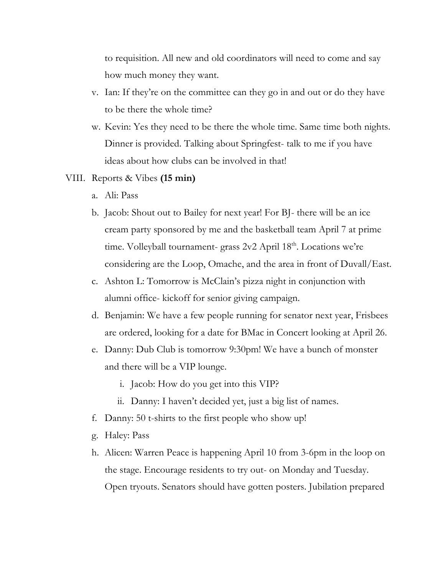to requisition. All new and old coordinators will need to come and say how much money they want.

- v. Ian: If they're on the committee can they go in and out or do they have to be there the whole time?
- w. Kevin: Yes they need to be there the whole time. Same time both nights. Dinner is provided. Talking about Springfest- talk to me if you have ideas about how clubs can be involved in that!
- VIII. Reports & Vibes **(15 min)**
	- a. Ali: Pass
	- b. Jacob: Shout out to Bailey for next year! For BJ- there will be an ice cream party sponsored by me and the basketball team April 7 at prime time. Volleyball tournament- grass 2v2 April 18th. Locations we're considering are the Loop, Omache, and the area in front of Duvall/East.
	- c. Ashton L: Tomorrow is McClain's pizza night in conjunction with alumni office- kickoff for senior giving campaign.
	- d. Benjamin: We have a few people running for senator next year, Frisbees are ordered, looking for a date for BMac in Concert looking at April 26.
	- e. Danny: Dub Club is tomorrow 9:30pm! We have a bunch of monster and there will be a VIP lounge.
		- i. Jacob: How do you get into this VIP?
		- ii. Danny: I haven't decided yet, just a big list of names.
	- f. Danny: 50 t-shirts to the first people who show up!
	- g. Haley: Pass
	- h. Alicen: Warren Peace is happening April 10 from 3-6pm in the loop on the stage. Encourage residents to try out- on Monday and Tuesday. Open tryouts. Senators should have gotten posters. Jubilation prepared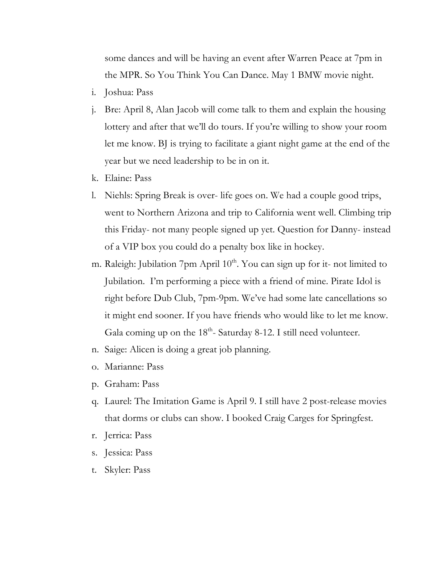some dances and will be having an event after Warren Peace at 7pm in the MPR. So You Think You Can Dance. May 1 BMW movie night.

- i. Joshua: Pass
- j. Bre: April 8, Alan Jacob will come talk to them and explain the housing lottery and after that we'll do tours. If you're willing to show your room let me know. BJ is trying to facilitate a giant night game at the end of the year but we need leadership to be in on it.
- k. Elaine: Pass
- l. Niehls: Spring Break is over- life goes on. We had a couple good trips, went to Northern Arizona and trip to California went well. Climbing trip this Friday- not many people signed up yet. Question for Danny- instead of a VIP box you could do a penalty box like in hockey.
- m. Raleigh: Jubilation 7pm April  $10<sup>th</sup>$ . You can sign up for it- not limited to Jubilation. I'm performing a piece with a friend of mine. Pirate Idol is right before Dub Club, 7pm-9pm. We've had some late cancellations so it might end sooner. If you have friends who would like to let me know. Gala coming up on the  $18<sup>th</sup>$ - Saturday 8-12. I still need volunteer.
- n. Saige: Alicen is doing a great job planning.
- o. Marianne: Pass
- p. Graham: Pass
- q. Laurel: The Imitation Game is April 9. I still have 2 post-release movies that dorms or clubs can show. I booked Craig Carges for Springfest.
- r. Jerrica: Pass
- s. Jessica: Pass
- t. Skyler: Pass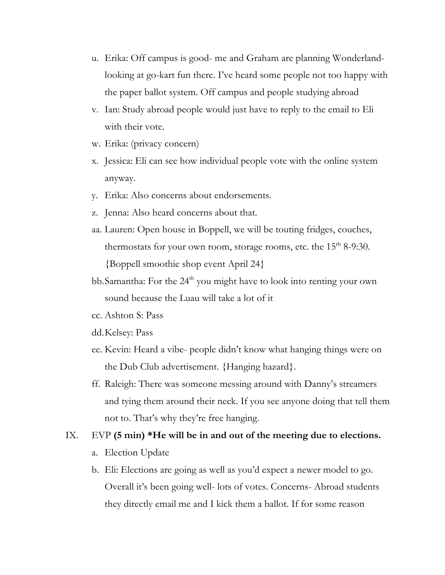- u. Erika: Off campus is good- me and Graham are planning Wonderlandlooking at go-kart fun there. I've heard some people not too happy with the paper ballot system. Off campus and people studying abroad
- v. Ian: Study abroad people would just have to reply to the email to Eli with their vote.
- w. Erika: (privacy concern)
- x. Jessica: Eli can see how individual people vote with the online system anyway.
- y. Erika: Also concerns about endorsements.
- z. Jenna: Also heard concerns about that.
- aa. Lauren: Open house in Boppell, we will be touting fridges, couches, thermostats for your own room, storage rooms, etc. the  $15<sup>th</sup> 8-9:30$ . {Boppell smoothie shop event April 24}
- bb.Samantha: For the 24<sup>th</sup> you might have to look into renting your own sound because the Luau will take a lot of it
- cc. Ashton S: Pass
- dd.Kelsey: Pass
- ee. Kevin: Heard a vibe- people didn't know what hanging things were on the Dub Club advertisement. {Hanging hazard}.
- ff. Raleigh: There was someone messing around with Danny's streamers and tying them around their neck. If you see anyone doing that tell them not to. That's why they're free hanging.

#### IX. EVP **(5 min) \*He will be in and out of the meeting due to elections.**

- a. Election Update
- b. Eli: Elections are going as well as you'd expect a newer model to go. Overall it's been going well- lots of votes. Concerns- Abroad students they directly email me and I kick them a ballot. If for some reason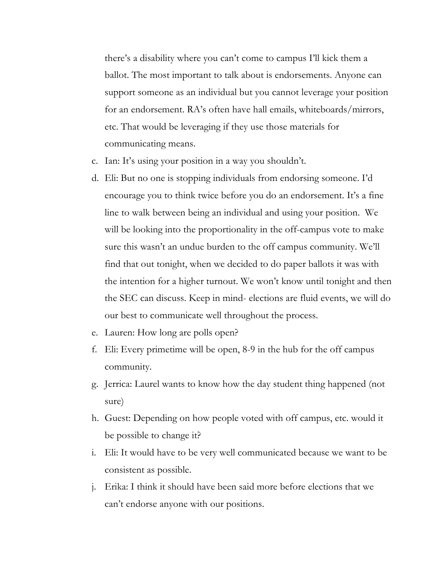there's a disability where you can't come to campus I'll kick them a ballot. The most important to talk about is endorsements. Anyone can support someone as an individual but you cannot leverage your position for an endorsement. RA's often have hall emails, whiteboards/mirrors, etc. That would be leveraging if they use those materials for communicating means.

- c. Ian: It's using your position in a way you shouldn't.
- d. Eli: But no one is stopping individuals from endorsing someone. I'd encourage you to think twice before you do an endorsement. It's a fine line to walk between being an individual and using your position. We will be looking into the proportionality in the off-campus vote to make sure this wasn't an undue burden to the off campus community. We'll find that out tonight, when we decided to do paper ballots it was with the intention for a higher turnout. We won't know until tonight and then the SEC can discuss. Keep in mind- elections are fluid events, we will do our best to communicate well throughout the process.
- e. Lauren: How long are polls open?
- f. Eli: Every primetime will be open, 8-9 in the hub for the off campus community.
- g. Jerrica: Laurel wants to know how the day student thing happened (not sure)
- h. Guest: Depending on how people voted with off campus, etc. would it be possible to change it?
- i. Eli: It would have to be very well communicated because we want to be consistent as possible.
- j. Erika: I think it should have been said more before elections that we can't endorse anyone with our positions.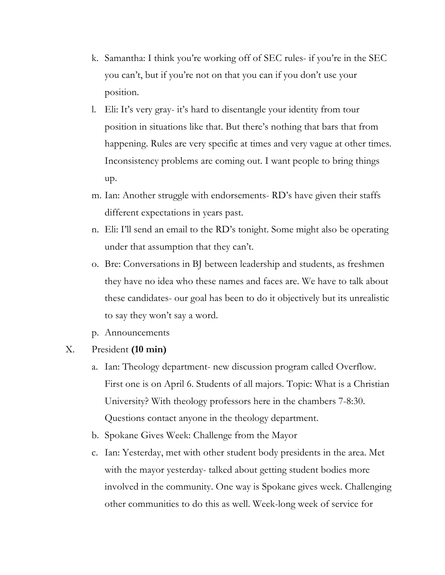- k. Samantha: I think you're working off of SEC rules- if you're in the SEC you can't, but if you're not on that you can if you don't use your position.
- l. Eli: It's very gray- it's hard to disentangle your identity from tour position in situations like that. But there's nothing that bars that from happening. Rules are very specific at times and very vague at other times. Inconsistency problems are coming out. I want people to bring things up.
- m. Ian: Another struggle with endorsements- RD's have given their staffs different expectations in years past.
- n. Eli: I'll send an email to the RD's tonight. Some might also be operating under that assumption that they can't.
- o. Bre: Conversations in BJ between leadership and students, as freshmen they have no idea who these names and faces are. We have to talk about these candidates- our goal has been to do it objectively but its unrealistic to say they won't say a word.
- p. Announcements
- X. President **(10 min)**
	- a. Ian: Theology department- new discussion program called Overflow. First one is on April 6. Students of all majors. Topic: What is a Christian University? With theology professors here in the chambers 7-8:30. Questions contact anyone in the theology department.
	- b. Spokane Gives Week: Challenge from the Mayor
	- c. Ian: Yesterday, met with other student body presidents in the area. Met with the mayor yesterday- talked about getting student bodies more involved in the community. One way is Spokane gives week. Challenging other communities to do this as well. Week-long week of service for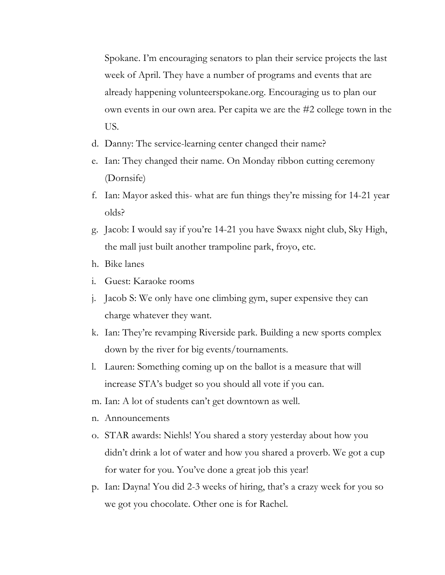Spokane. I'm encouraging senators to plan their service projects the last week of April. They have a number of programs and events that are already happening volunteerspokane.org. Encouraging us to plan our own events in our own area. Per capita we are the #2 college town in the US.

- d. Danny: The service-learning center changed their name?
- e. Ian: They changed their name. On Monday ribbon cutting ceremony (Dornsife)
- f. Ian: Mayor asked this- what are fun things they're missing for 14-21 year olds?
- g. Jacob: I would say if you're 14-21 you have Swaxx night club, Sky High, the mall just built another trampoline park, froyo, etc.
- h. Bike lanes
- i. Guest: Karaoke rooms
- j. Jacob S: We only have one climbing gym, super expensive they can charge whatever they want.
- k. Ian: They're revamping Riverside park. Building a new sports complex down by the river for big events/tournaments.
- l. Lauren: Something coming up on the ballot is a measure that will increase STA's budget so you should all vote if you can.
- m. Ian: A lot of students can't get downtown as well.
- n. Announcements
- o. STAR awards: Niehls! You shared a story yesterday about how you didn't drink a lot of water and how you shared a proverb. We got a cup for water for you. You've done a great job this year!
- p. Ian: Dayna! You did 2-3 weeks of hiring, that's a crazy week for you so we got you chocolate. Other one is for Rachel.